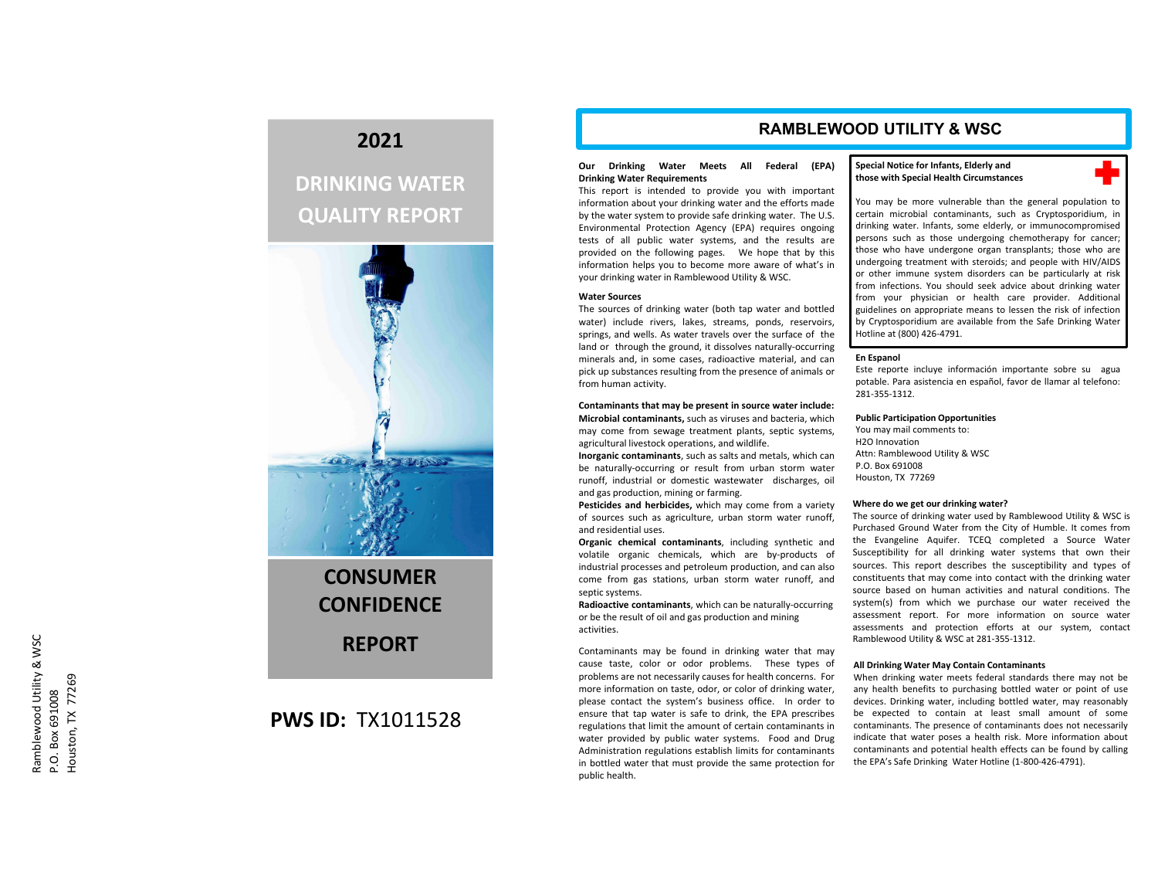## **2021**

# **DRINKING WATER QUALITY REPORT**



# **CONSUMERCONFIDENCEREPORT**

## **PWS ID:** TX1011528

## **RAMBLEWOOD UTILITY & WSC**

### **Our Drinking Water Meets All Federal (EPA) Drinking Water Requirements**

This report is intended to provide you with important information about your drinking water and the efforts made by the water system to provide safe drinking water. The U.S. Environmental Protection Agency (EPA) requires ongoing tests of all public water systems, and the results are provided on the following pages. We hope that by this information helps you to become more aware of what's in your drinking water in Ramblewood Utility & WSC.

### **Water Sources**

The sources of drinking water (both tap water and bottled water) include rivers, lakes, streams, ponds, reservoirs, springs, and wells. As water travels over the surface of the land or through the ground, it dissolves naturally‐occurring minerals and, in some cases, radioactive material, and can pick up substances resulting from the presence of animals or from human activity.

**Contaminants that may be present in source water include: Microbial contaminants,** such as viruses and bacteria, which may come from sewage treatment plants, septic systems, agricultural livestock operations, and wildlife.

**Inorganic contaminants**, such as salts and metals, which can be naturally‐occurring or result from urban storm water runoff, industrial or domestic wastewater discharges, oil and gas production, mining or farming.

**Pesticides and herbicides,** which may come from <sup>a</sup> variety of sources such as agriculture, urban storm water runoff, and residential uses.

**Organic chemical contaminants**, including synthetic and volatile organic chemicals, which are by‐products of industrial processes and petroleum production, and can also come from gas stations, urban storm water runoff, and septic systems.

**Radioactive contaminants**, which can be naturally‐occurring or be the result of oil and gas production and mining activities.

Contaminants may be found in drinking water that may cause taste, color or odor problems. These types of problems are not necessarily causes for health concerns. For more information on taste, odor, or color of drinking water, please contact the system's business office. In order to ensure that tap water is safe to drink, the EPA prescribes regulations that limit the amount of certain contaminants in water provided by public water systems. Food and Drug Administration regulations establish limits for contaminants in bottled water that must provide the same protection for public health.

### **Special Notice for Infants, Elderly and those with Special Health Circumstances**



You may be more vulnerable than the general population to certain microbial contaminants, such as Cryptosporidium, in drinking water. Infants, some elderly, or immunocompromised persons such as those undergoing chemotherapy for cancer; those who have undergone organ transplants; those who are undergoing treatment with steroids; and people with HIV/AIDS or other immune system disorders can be particularly at risk from infections. You should seek advice about drinking water from your physician or health care provider. Additional guidelines on appropriate means to lessen the risk of infection by Cryptosporidium are available from the Safe Drinking Water Hotline at (800) 426‐4791.

### **En Espanol**

Este reporte incluye información importante sobre su agua potable. Para asistencia en español, favor de llamar al telefono: 281‐355‐1312.

### **Public Participation Opportunities**

You may mail comments to: H2O InnovationAttn: Ramblewood Utility & WSC P.O. Box 691008Houston, TX 77269

### **Where do we get our drinking water?**

The source of drinking water used by Ramblewood Utility & WSC is Purchased Ground Water from the City of Humble. It comes from the Evangeline Aquifer. TCEQ completed <sup>a</sup> Source Water Susceptibility for all drinking water systems that own their sources. This report describes the susceptibility and types of constituents that may come into contact with the drinking water source based on human activities and natural conditions. Thesystem(s) from which we purchase our water received the assessment report. For more information on source water assessments and protection efforts at our system, contact Ramblewood Utility & WSC at 281‐355‐1312.

### **All Drinking Water May Contain Contaminants**

When drinking water meets federal standards there may not be any health benefits to purchasing bottled water or point of use devices. Drinking water, including bottled water, may reasonably be expected to contain at least small amount of some contaminants. The presence of contaminants does not necessarily indicate that water poses <sup>a</sup> health risk. More information about contaminants and potential health effects can be found by calling the EPA's Safe Drinking Water Hotline (1‐800‐426‐4791).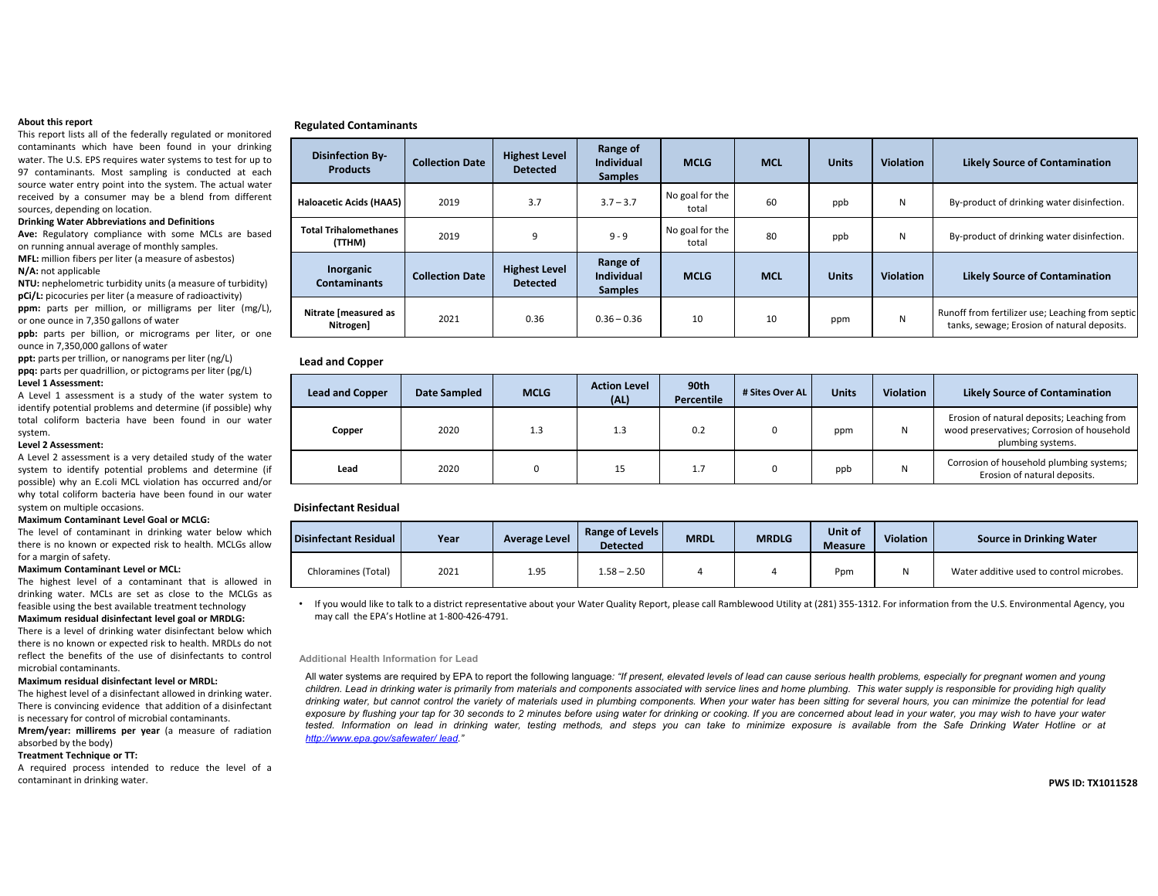### **About this report**

This report lists all of the federally regulated or monitored contaminants which have been found in your drinking water. The U.S. EPS requires water systems to test for up to 97 contaminants. Most sampling is conducted at each source water entry point into the system. The actual water received by <sup>a</sup> consumer may be <sup>a</sup> blend from different sources, depending on location.

### **Drinking Water Abbreviations and Definitions**

**Ave:** Regulatory compliance with some MCLs are based on running annual average of monthly samples.

**MFL:** million fibers per liter (a measure of asbestos) **N/A:** not applicable

**NTU:** nephelometric turbidity units (a measure of turbidity) **pCi/L:** picocuries per liter (a measure of radioactivity)

**ppm:** parts per million, or milligrams per liter (mg/L), or one ounce in 7,350 gallons of water

**ppb:** parts per billion, or micrograms per liter, or one ounce in 7,350,000 gallons of water

**ppt:** parts per trillion, or nanograms per liter (ng/L) **ppq:** parts per quadrillion, or pictograms per liter (pg/L) **Level 1 Assessment:**

A Level 1 assessment is <sup>a</sup> study of the water system to identify potential problems and determine (if possible) why total coliform bacteria have been found in our watersystem.

### **Level 2 Assessment:**

A Level 2 assessment is <sup>a</sup> very detailed study of the water system to identify potential problems and determine (if possible) why an E.coli MCL violation has occurred and/or why total coliform bacteria have been found in our water system on multiple occasions.

### **Maximum Contaminant Level Goal or MCLG:**

The level of contaminant in drinking water below which there is no known or expected risk to health. MCLGs allow for <sup>a</sup> margin of safety.

### **Maximum Contaminant Level or MCL:**

The highest level of <sup>a</sup> contaminant that is allowed in drinking water. MCLs are set as close to the MCLGs as feasible using the best available treatment technology **Maximum residual disinfectant level goal or MRDLG:**

There is <sup>a</sup> level of drinking water disinfectant below which there is no known or expected risk to health. MRDLs do not reflect the benefits of the use of disinfectants to controlmicrobial contaminants.

### **Maximum residual disinfectant level or MRDL:**

The highest level of <sup>a</sup> disinfectant allowed in drinking water. There is convincing evidence that addition of <sup>a</sup> disinfectant is necessary for control of microbial contaminants.

**Mrem/year: millirems per year** (a measure of radiation absorbed by the body)

### **Treatment Technique or TT:**

A required process intended to reduce the level of <sup>a</sup> contaminant in drinking water. **PWS**

### **Regulated Contaminants**

| <b>Disinfection By-</b><br><b>Products</b> | <b>Collection Date</b> | <b>Highest Level</b><br><b>Detected</b> | Range of<br><b>Individual</b><br><b>Samples</b> | <b>MCLG</b>              | <b>MCL</b> | <b>Units</b> | <b>Violation</b> | <b>Likely Source of Contamination</b>                                                           |
|--------------------------------------------|------------------------|-----------------------------------------|-------------------------------------------------|--------------------------|------------|--------------|------------------|-------------------------------------------------------------------------------------------------|
| Haloacetic Acids (HAA5)                    | 2019                   | 3.7                                     | $3.7 - 3.7$                                     | No goal for the<br>total | 60         | ppb          | N                | By-product of drinking water disinfection.                                                      |
| <b>Total Trihalomethanes</b><br>(TTHM)     | 2019                   | 9                                       | $9 - 9$                                         | No goal for the<br>total | 80         | ppb          | N                | By-product of drinking water disinfection.                                                      |
| Inorganic<br><b>Contaminants</b>           | <b>Collection Date</b> | <b>Highest Level</b><br><b>Detected</b> | Range of<br><b>Individual</b><br><b>Samples</b> | <b>MCLG</b>              | <b>MCL</b> | <b>Units</b> | <b>Violation</b> | <b>Likely Source of Contamination</b>                                                           |
| Nitrate [measured as<br>Nitrogen]          | 2021                   | 0.36                                    | $0.36 - 0.36$                                   | 10                       | 10         | ppm          | N                | Runoff from fertilizer use; Leaching from septic<br>tanks, sewage; Erosion of natural deposits. |

### **Lead and Copper**

| <b>Lead and Copper</b> | <b>Date Sampled</b> | <b>MCLG</b> | <b>Action Level</b><br>(AL) | 90th<br>Percentile | # Sites Over AL | <b>Units</b> | <b>Violation</b> | <b>Likely Source of Contamination</b>                                                                         |
|------------------------|---------------------|-------------|-----------------------------|--------------------|-----------------|--------------|------------------|---------------------------------------------------------------------------------------------------------------|
| Copper                 | 2020                | 1.3         | 1.3                         | 0.2                |                 | ppm          | N                | Erosion of natural deposits; Leaching from<br>wood preservatives; Corrosion of household<br>plumbing systems. |
| Lead                   | 2020                |             | 15                          | 1.7                |                 | ppb          | N                | Corrosion of household plumbing systems;<br>Erosion of natural deposits.                                      |

### **Disinfectant Residual**

| Disinfectant Residual | Year | Average Level | <b>Range of Levels</b><br><b>Detected</b> | <b>MRDL</b> | <b>MRDLG</b> | Unit of<br><b>Measure</b> | Violation | <b>Source in Drinking Water</b>          |
|-----------------------|------|---------------|-------------------------------------------|-------------|--------------|---------------------------|-----------|------------------------------------------|
| Chloramines (Total)   | 2021 | 1.95          | 58 – 2.50                                 |             |              | Ppm                       |           | Water additive used to control microbes. |

• If you would like to talk to <sup>a</sup> district representative about your Water Quality Report, please call Ramblewood Utility at (281) 355‐1312. For information from the U.S. Environmental Agency, you may call the EPA's Hotline at 1‐800‐426‐4791.

### **Additional Health Information for Lead**

All water systems are required by EPA to report the following language: "If present, elevated levels of lead can cause serious health problems, especially for pregnant women and young children. Lead in drinking water is primarily from materials and components associated with service lines and home plumbing. This water supply is responsible for providing high quality drinking water, but cannot control the variety of materials used in plumbing components. When your water has been sitting for several hours, you can minimize the potential for lead exposure by flushing your tap for 30 seconds to 2 minutes before using water for drinking or cooking. If you are concerned about lead in your water, you may wish to have your water tested. Information on lead in drinking water, testing methods, and steps you can take to minimize exposure is available from the Safe Drinking Water Hotline or at *http://www.epa.gov/safewater/ lead."*

### **ID: TX1011528**